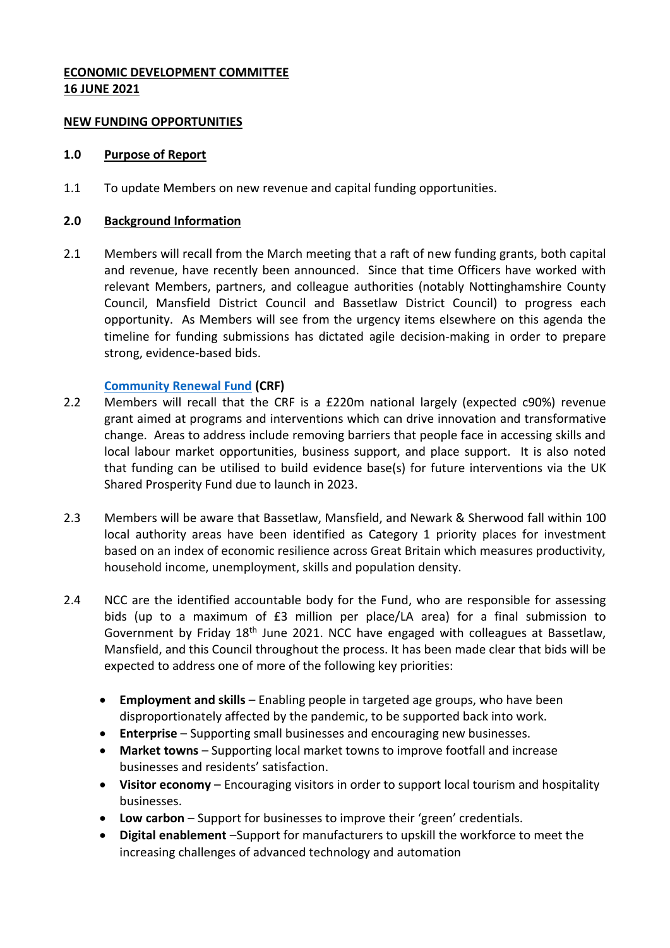# **ECONOMIC DEVELOPMENT COMMITTEE 16 JUNE 2021**

## **NEW FUNDING OPPORTUNITIES**

## **1.0 Purpose of Report**

1.1 To update Members on new revenue and capital funding opportunities.

## **2.0 Background Information**

2.1 Members will recall from the March meeting that a raft of new funding grants, both capital and revenue, have recently been announced. Since that time Officers have worked with relevant Members, partners, and colleague authorities (notably Nottinghamshire County Council, Mansfield District Council and Bassetlaw District Council) to progress each opportunity. As Members will see from the urgency items elsewhere on this agenda the timeline for funding submissions has dictated agile decision-making in order to prepare strong, evidence-based bids.

# **[Community Renewal Fund](https://www.gov.uk/government/publications/uk-community-renewal-fund-prospectus/uk-community-renewal-fund-prospectus-2021-22) (CRF)**

- 2.2 Members will recall that the CRF is a £220m national largely (expected c90%) revenue grant aimed at programs and interventions which can drive innovation and transformative change. Areas to address include removing barriers that people face in accessing skills and local labour market opportunities, business support, and place support. It is also noted that funding can be utilised to build evidence base(s) for future interventions via the UK Shared Prosperity Fund due to launch in 2023.
- 2.3 Members will be aware that Bassetlaw, Mansfield, and Newark & Sherwood fall within 100 local authority areas have been identified as Category 1 priority places for investment based on an index of economic resilience across Great Britain which measures productivity, household income, unemployment, skills and population density.
- 2.4 NCC are the identified accountable body for the Fund, who are responsible for assessing bids (up to a maximum of £3 million per place/LA area) for a final submission to Government by Friday  $18<sup>th</sup>$  June 2021. NCC have engaged with colleagues at Bassetlaw, Mansfield, and this Council throughout the process. It has been made clear that bids will be expected to address one of more of the following key priorities:
	- **Employment and skills** Enabling people in targeted age groups, who have been disproportionately affected by the pandemic, to be supported back into work.
	- **Enterprise** Supporting small businesses and encouraging new businesses.
	- **Market towns**  Supporting local market towns to improve footfall and increase businesses and residents' satisfaction.
	- **Visitor economy** Encouraging visitors in order to support local tourism and hospitality businesses.
	- **Low carbon**  Support for businesses to improve their 'green' credentials.
	- **Digital enablement** –Support for manufacturers to upskill the workforce to meet the increasing challenges of advanced technology and automation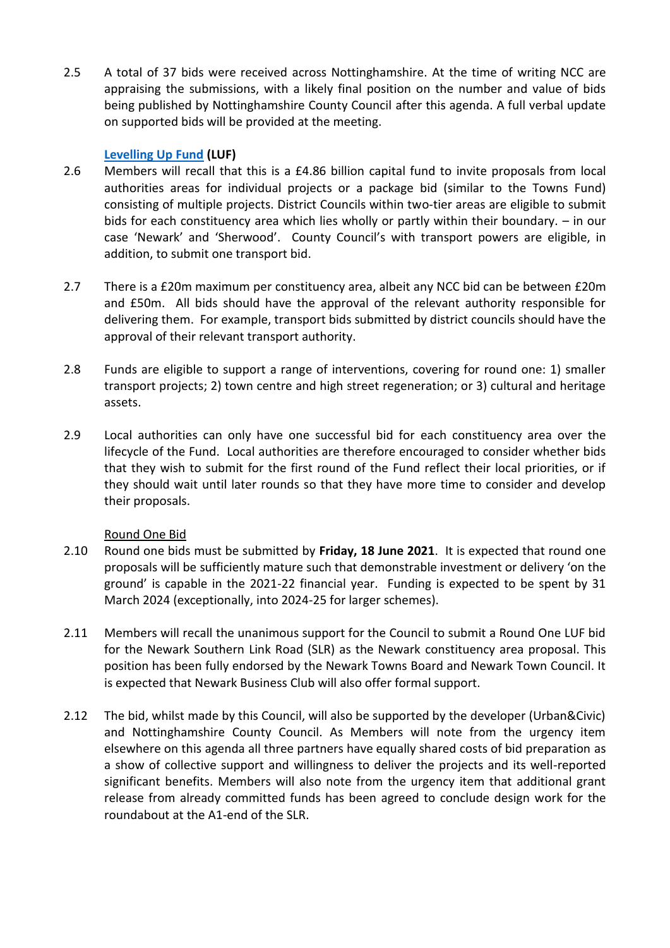2.5 A total of 37 bids were received across Nottinghamshire. At the time of writing NCC are appraising the submissions, with a likely final position on the number and value of bids being published by Nottinghamshire County Council after this agenda. A full verbal update on supported bids will be provided at the meeting.

## **[Levelling Up Fund](https://www.gov.uk/government/publications/levelling-up-fund-prospectus) (LUF)**

- 2.6 Members will recall that this is a £4.86 billion capital fund to invite proposals from local authorities areas for individual projects or a package bid (similar to the Towns Fund) consisting of multiple projects. District Councils within two-tier areas are eligible to submit bids for each constituency area which lies wholly or partly within their boundary. – in our case 'Newark' and 'Sherwood'. County Council's with transport powers are eligible, in addition, to submit one transport bid.
- 2.7 There is a £20m maximum per constituency area, albeit any NCC bid can be between £20m and £50m. All bids should have the approval of the relevant authority responsible for delivering them. For example, transport bids submitted by district councils should have the approval of their relevant transport authority.
- 2.8 Funds are eligible to support a range of interventions, covering for round one: 1) smaller transport projects; 2) town centre and high street regeneration; or 3) cultural and heritage assets.
- 2.9 Local authorities can only have one successful bid for each constituency area over the lifecycle of the Fund. Local authorities are therefore encouraged to consider whether bids that they wish to submit for the first round of the Fund reflect their local priorities, or if they should wait until later rounds so that they have more time to consider and develop their proposals.

## Round One Bid

- 2.10 Round one bids must be submitted by **Friday, 18 June 2021**. It is expected that round one proposals will be sufficiently mature such that demonstrable investment or delivery 'on the ground' is capable in the 2021-22 financial year. Funding is expected to be spent by 31 March 2024 (exceptionally, into 2024-25 for larger schemes).
- 2.11 Members will recall the unanimous support for the Council to submit a Round One LUF bid for the Newark Southern Link Road (SLR) as the Newark constituency area proposal. This position has been fully endorsed by the Newark Towns Board and Newark Town Council. It is expected that Newark Business Club will also offer formal support.
- 2.12 The bid, whilst made by this Council, will also be supported by the developer (Urban&Civic) and Nottinghamshire County Council. As Members will note from the urgency item elsewhere on this agenda all three partners have equally shared costs of bid preparation as a show of collective support and willingness to deliver the projects and its well-reported significant benefits. Members will also note from the urgency item that additional grant release from already committed funds has been agreed to conclude design work for the roundabout at the A1-end of the SLR.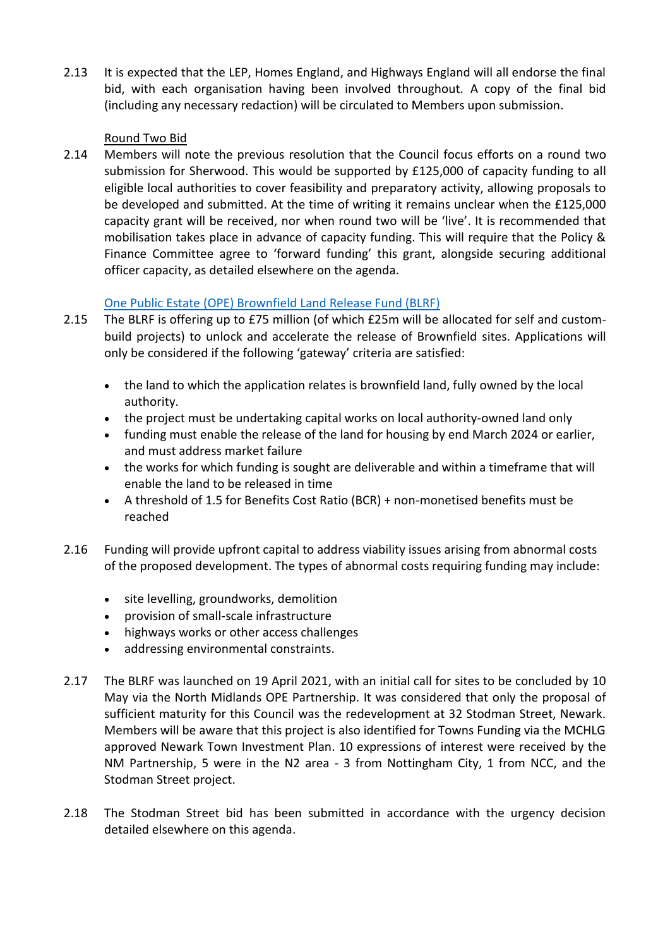2.13 It is expected that the LEP, Homes England, and Highways England will all endorse the final bid, with each organisation having been involved throughout. A copy of the final bid (including any necessary redaction) will be circulated to Members upon submission.

# Round Two Bid

2.14 Members will note the previous resolution that the Council focus efforts on a round two submission for Sherwood. This would be supported by £125,000 of capacity funding to all eligible local authorities to cover feasibility and preparatory activity, allowing proposals to be developed and submitted. At the time of writing it remains unclear when the £125,000 capacity grant will be received, nor when round two will be 'live'. It is recommended that mobilisation takes place in advance of capacity funding. This will require that the Policy & Finance Committee agree to 'forward funding' this grant, alongside securing additional officer capacity, as detailed elsewhere on the agenda.

# [One Public Estate \(OPE\) Brownfield Land Release Fund \(BLRF\)](https://www.local.gov.uk/ope-brownfield-land-release-fund)

- 2.15 The BLRF is offering up to £75 million (of which £25m will be allocated for self and custombuild projects) to unlock and accelerate the release of Brownfield sites. Applications will only be considered if the following 'gateway' criteria are satisfied:
	- the land to which the application relates is brownfield land, fully owned by the local authority.
	- the project must be undertaking capital works on local authority-owned land only
	- funding must enable the release of the land for housing by end March 2024 or earlier, and must address market failure
	- the works for which funding is sought are deliverable and within a timeframe that will enable the land to be released in time
	- A threshold of 1.5 for Benefits Cost Ratio (BCR) + non-monetised benefits must be reached
- 2.16 Funding will provide upfront capital to address viability issues arising from abnormal costs of the proposed development. The types of abnormal costs requiring funding may include:
	- site levelling, groundworks, demolition
	- provision of small-scale infrastructure
	- highways works or other access challenges
	- addressing environmental constraints.
- 2.17 The BLRF was launched on 19 April 2021, with an initial call for sites to be concluded by 10 May via the North Midlands OPE Partnership. It was considered that only the proposal of sufficient maturity for this Council was the redevelopment at 32 Stodman Street, Newark. Members will be aware that this project is also identified for Towns Funding via the MCHLG approved Newark Town Investment Plan. 10 expressions of interest were received by the NM Partnership, 5 were in the N2 area - 3 from Nottingham City, 1 from NCC, and the Stodman Street project.
- 2.18 The Stodman Street bid has been submitted in accordance with the urgency decision detailed elsewhere on this agenda.